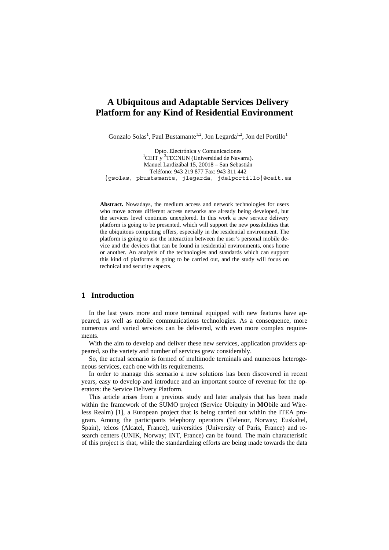# **A Ubiquitous and Adaptable Services Delivery Platform for any Kind of Residential Environment**

Gonzalo Solas<sup>1</sup>, Paul Bustamante<sup>1,2</sup>, Jon Legarda<sup>1,2</sup>, Jon del Portillo<sup>1</sup>

Dpto. Electrónica y Comunicaciones 1 CEIT y <sup>2</sup>TECNUN (Universidad de Navarra). Manuel Lardizábal 15, 20018 – San Sebastián Teléfono: 943 219 877 Fax: 943 311 442 {gsolas, pbustamante, jlegarda, jdelportillo}@ceit.es

**Abstract.** Nowadays, the medium access and network technologies for users who move across different access networks are already being developed, but the services level continues unexplored. In this work a new service delivery platform is going to be presented, which will support the new possibilities that the ubiquitous computing offers, especially in the residential environment. The platform is going to use the interaction between the user's personal mobile device and the devices that can be found in residential environments, ones home or another. An analysis of the technologies and standards which can support this kind of platforms is going to be carried out, and the study will focus on technical and security aspects.

# **1 Introduction**

In the last years more and more terminal equipped with new features have appeared, as well as mobile communications technologies. As a consequence, more numerous and varied services can be delivered, with even more complex requirements.

With the aim to develop and deliver these new services, application providers appeared, so the variety and number of services grew considerably.

So, the actual scenario is formed of multimode terminals and numerous heterogeneous services, each one with its requirements.

In order to manage this scenario a new solutions has been discovered in recent years, easy to develop and introduce and an important source of revenue for the operators: the Service Delivery Platform.

This article arises from a previous study and later analysis that has been made within the framework of the SUMO project (**S**ervice **U**biquity in **MO**bile and Wireless Realm) [1], a European project that is being carried out within the ITEA program. Among the participants telephony operators (Telenor, Norway; Euskaltel, Spain), telcos (Alcatel, France), universities (University of Paris, France) and research centers (UNIK, Norway; INT, France) can be found. The main characteristic of this project is that, while the standardizing efforts are being made towards the data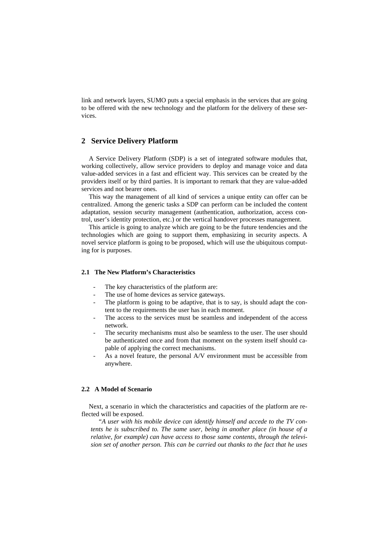link and network layers, SUMO puts a special emphasis in the services that are going to be offered with the new technology and the platform for the delivery of these services.

# **2 Service Delivery Platform**

A Service Delivery Platform (SDP) is a set of integrated software modules that, working collectively, allow service providers to deploy and manage voice and data value-added services in a fast and efficient way. This services can be created by the providers itself or by third parties. It is important to remark that they are value-added services and not bearer ones.

This way the management of all kind of services a unique entity can offer can be centralized. Among the generic tasks a SDP can perform can be included the content adaptation, session security management (authentication, authorization, access control, user's identity protection, etc.) or the vertical handover processes management.

This article is going to analyze which are going to be the future tendencies and the technologies which are going to support them, emphasizing in security aspects. A novel service platform is going to be proposed, which will use the ubiquitous computing for is purposes.

### **2.1 The New Platform's Characteristics**

- The key characteristics of the platform are:
- The use of home devices as service gateways.
- The platform is going to be adaptive, that is to say, is should adapt the content to the requirements the user has in each moment.
- The access to the services must be seamless and independent of the access network.
- The security mechanisms must also be seamless to the user. The user should be authenticated once and from that moment on the system itself should capable of applying the correct mechanisms.
- As a novel feature, the personal A/V environment must be accessible from anywhere.

# **2.2 A Model of Scenario**

Next, a scenario in which the characteristics and capacities of the platform are reflected will be exposed.

*"A user with his mobile device can identify himself and accede to the TV contents he is subscribed to. The same user, being in another place (in house of a relative, for example) can have access to those same contents, through the television set of another person. This can be carried out thanks to the fact that he uses*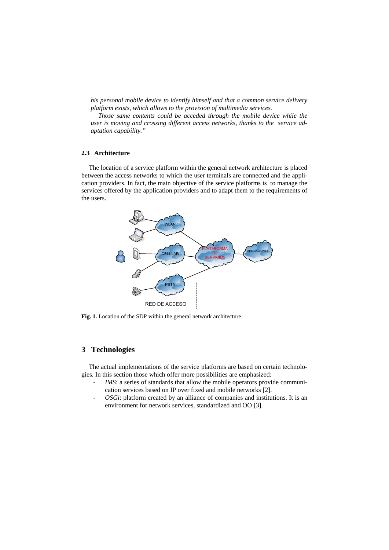*his personal mobile device to identify himself and that a common service delivery platform exists, which allows to the provision of multimedia services.* 

*Those same contents could be acceded through the mobile device while the user is moving and crossing different access networks, thanks to the service adaptation capability."* 

# **2.3 Architecture**

The location of a service platform within the general network architecture is placed between the access networks to which the user terminals are connected and the application providers. In fact, the main objective of the service platforms is to manage the services offered by the application providers and to adapt them to the requirements of the users.



**Fig. 1.** Location of the SDP within the general network architecture

# **3 Technologies**

The actual implementations of the service platforms are based on certain technologies. In this section those which offer more possibilities are emphasized:

- *IMS*: a series of standards that allow the mobile operators provide communication services based on IP over fixed and mobile networks [2].
- *OSGi*: platform created by an alliance of companies and institutions. It is an environment for network services, standardized and OO [3].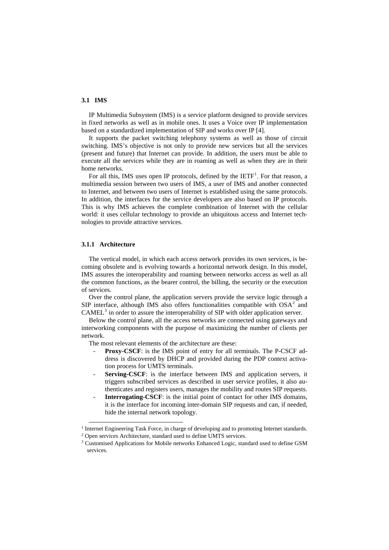# **3.1 IMS**

IP Multimedia Subsystem (IMS) is a service platform designed to provide services in fixed networks as well as in mobile ones. It uses a Voice over IP implementation based on a standardized implementation of SIP and works over IP [4].

It supports the packet switching telephony systems as well as those of circuit switching. IMS's objective is not only to provide new services but all the services (present and future) that Internet can provide. In addition, the users must be able to execute all the services while they are in roaming as well as when they are in their home networks.

For all this, IMS uses open IP protocols, defined by the  $IETF<sup>1</sup>$  $IETF<sup>1</sup>$  $IETF<sup>1</sup>$ . For that reason, a multimedia session between two users of IMS, a user of IMS and another connected to Internet, and between two users of Internet is established using the same protocols. In addition, the interfaces for the service developers are also based on IP protocols. This is why IMS achieves the complete combination of Internet with the cellular world: it uses cellular technology to provide an ubiquitous access and Internet technologies to provide attractive services.

#### **3.1.1 Architecture**

The vertical model, in which each access network provides its own services, is becoming obsolete and is evolving towards a horizontal network design. In this model, IMS assures the interoperability and roaming between networks access as well as all the common functions, as the bearer control, the billing, the security or the execution of services.

Over the control plane, the application servers provide the service logic through a SIP interface, although IMS also offers functionalities compatible with  $OSA<sup>2</sup>$  $OSA<sup>2</sup>$  $OSA<sup>2</sup>$  and  $CAMEL<sup>3</sup>$  $CAMEL<sup>3</sup>$  $CAMEL<sup>3</sup>$  in order to assure the interoperability of SIP with older application server.

Below the control plane, all the access networks are connected using gateways and interworking components with the purpose of maximizing the number of clients per network.

The most relevant elements of the architecture are these:

- **Proxy-CSCF**: is the IMS point of entry for all terminals. The P-CSCF address is discovered by DHCP and provided during the PDP context activation process for UMTS terminals.
- **Serving-CSCF**: is the interface between IMS and application servers, it triggers subscribed services as described in user service profiles, it also authenticates and registers users, manages the mobility and routes SIP requests.
- **Interrogating-CSCF**: is the initial point of contact for other IMS domains, it is the interface for incoming inter-domain SIP requests and can, if needed, hide the internal network topology.

<span id="page-3-0"></span><sup>&</sup>lt;sup>1</sup> Internet Engineering Task Force, in charge of developing and to promoting Internet standards. <sup>2</sup> Open services Architecture, standard used to define UMTS services.

<span id="page-3-1"></span>

<span id="page-3-2"></span><sup>&</sup>lt;sup>3</sup> Customised Applications for Mobile networks Enhanced Logic, standard used to define GSM services.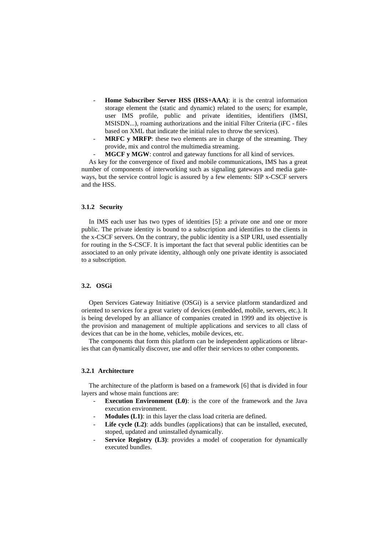- Home Subscriber Server HSS (HSS+AAA): it is the central information storage element the (static and dynamic) related to the users; for example, user IMS profile, public and private identities, identifiers (IMSI, MSISDN...), roaming authorizations and the initial Filter Criteria (iFC - files based on XML that indicate the initial rules to throw the services).
- MRFC y MRFP: these two elements are in charge of the streaming. They provide, mix and control the multimedia streaming.
- **MGCF y MGW**: control and gateway functions for all kind of services.

As key for the convergence of fixed and mobile communications, IMS has a great number of components of interworking such as signaling gateways and media gateways, but the service control logic is assured by a few elements: SIP x-CSCF servers and the HSS.

#### **3.1.2 Security**

In IMS each user has two types of identities [5]: a private one and one or more public. The private identity is bound to a subscription and identifies to the clients in the x-CSCF servers. On the contrary, the public identity is a SIP URI, used essentially for routing in the S-CSCF. It is important the fact that several public identities can be associated to an only private identity, although only one private identity is associated to a subscription.

### **3.2. OSGi**

Open Services Gateway Initiative (OSGi) is a service platform standardized and oriented to services for a great variety of devices (embedded, mobile, servers, etc.). It is being developed by an alliance of companies created in 1999 and its objective is the provision and management of multiple applications and services to all class of devices that can be in the home, vehicles, mobile devices, etc.

The components that form this platform can be independent applications or libraries that can dynamically discover, use and offer their services to other components.

# **3.2.1 Architecture**

The architecture of the platform is based on a framework [6] that is divided in four layers and whose main functions are:

- **Execution Environment** (L0): is the core of the framework and the Java execution environment.
- Modules (L1): in this layer the class load criteria are defined.
- Life cycle (L2): adds bundles (applications) that can be installed, executed, stoped, updated and uninstalled dynamically.
- **Service Registry (L3)**: provides a model of cooperation for dynamically executed bundles.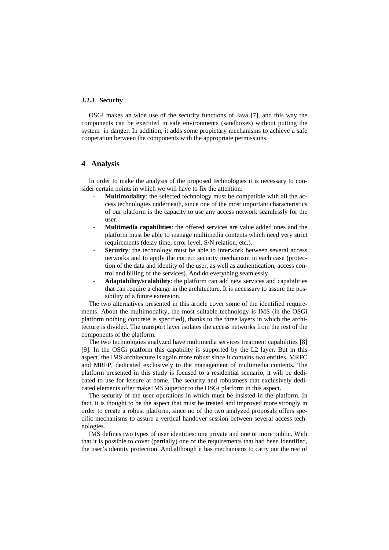### **3.2.3 Security**

OSGi makes an wide use of the security functions of Java [7], and this way the components can be executed in safe environments (sandboxes) without putting the system in danger. In addition, it adds some propietary mechanisms to achieve a safe cooperation between the components with the appropriate permissions.

# **4 Analysis**

In order to make the analysis of the proposed technologies it is necessary to consider certain points in which we will have to fix the attention:

- Multimodality: the selected technology must be compatible with all the access technologies underneath, since one of the most important characteristics of our platform is the capacity to use any access network seamlessly for the user.
- **Multimedia capabilities**: the offered services are value added ones and the platform must be able to manage multimedia contents which need very strict requirements (delay time, error level, S/N relation, etc.).
- **Security**: the technology must be able to interwork between several access networks and to apply the correct security mechanism in each case (protection of the data and identity of the user, as well as authentication, access control and billing of the services). And do everything seamlessly.
- **Adaptability/scalability**: the platform can add new services and capabilities that can require a change in the architecture. It is necessary to assure the possibility of a future extension.

The two alternatives presented in this article cover some of the identified requirements. About the multimodality, the most suitable technology is IMS (in the OSGi platform nothing concrete is specified), thanks to the three layers in which the architecture is divided. The transport layer isolates the access networks from the rest of the components of the platform.

The two technologies analyzed have multimedia services treatment capabilities [8] [9]. In the OSGi platform this capability is supported by the L2 layer. But in this aspect, the IMS architecture is again more robust since it contains two entities, MRFC and MRFP, dedicated exclusively to the management of multimedia contents. The platform presented in this study is focused to a residential scenario, it will be dedicated to use for leisure at home. The security and robustness that exclusively dedicated elements offer make IMS superior to the OSGi platform in this aspect.

The security of the user operations in which must be insisted in the platform. In fact, it is thought to be the aspect that must be treated and improved more strongly in order to create a robust platform, since no of the two analyzed proposals offers specific mechanisms to assure a vertical handover session between several access technologies.

IMS defines two types of user identities: one private and one or more public. With that it is possible to cover (partially) one of the requirements that had been identified, the user's identity protection. And although it has mechanisms to carry out the rest of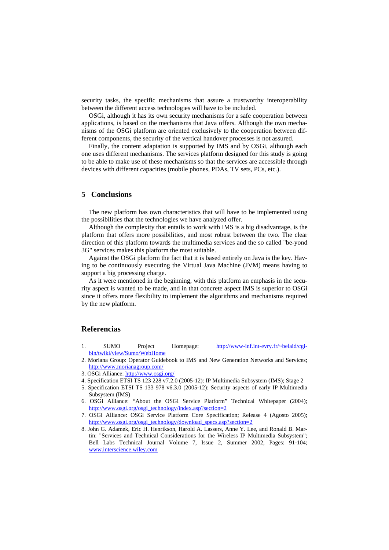security tasks, the specific mechanisms that assure a trustworthy interoperability between the different access technologies will have to be included.

OSGi, although it has its own security mechanisms for a safe cooperation between applications, is based on the mechanisms that Java offers. Although the own mechanisms of the OSGi platform are oriented exclusively to the cooperation between different components, the security of the vertical handover processes is not assured.

Finally, the content adaptation is supported by IMS and by OSGi, although each one uses different mechanisms. The services platform designed for this study is going to be able to make use of these mechanisms so that the services are accessible through devices with different capacities (mobile phones, PDAs, TV sets, PCs, etc.).

# **5 Conclusions**

The new platform has own characteristics that will have to be implemented using the possibilities that the technologies we have analyzed offer.

Although the complexity that entails to work with IMS is a big disadvantage, is the platform that offers more possibilities, and most robust between the two. The clear direction of this platform towards the multimedia services and the so called "be-yond 3G" services makes this platform the most suitable.

Against the OSGi platform the fact that it is based entirely on Java is the key. Having to be continuously executing the Virtual Java Machine (JVM) means having to support a big processing charge.

As it were mentioned in the beginning, with this platform an emphasis in the security aspect is wanted to be made, and in that concrete aspect IMS is superior to OSGi since it offers more flexibility to implement the algorithms and mechanisms required by the new platform.

# **Referencias**

- 1. SUMO Project Homepage: [http://www-inf.int-evry.fr/~belaid/cgi](http://www-inf.int-evry.fr/%7Ebelaid/cgi-bin/twiki/view/Sumo/WebHome)[bin/twiki/view/Sumo/WebHome](http://www-inf.int-evry.fr/%7Ebelaid/cgi-bin/twiki/view/Sumo/WebHome)
- 2. Moriana Group: Operator Guidebook to IMS and New Generation Networks and Services; <http://www.morianagroup.com/>
- 3. OSGi Alliance: <http://www.osgi.org/>
- 4. Specification ETSI TS 123 228 v7.2.0 (2005-12): IP Multimedia Subsystem (IMS); Stage 2
- 5. Specification ETSI TS 133 978 v6.3.0 (2005-12): Security aspects of early IP Multimedia Subsystem (IMS)
- 6. OSGi Alliance: "About the OSGi Service Platform" Technical Whitepaper (2004); [http://www.osgi.org/osgi\\_technology/index.asp?section=2](http://www.osgi.org/osgi_technology/index.asp?section=2)
- 7. OSGi Alliance: OSGi Service Platform Core Specification; Release 4 (Agosto 2005); [http://www.osgi.org/osgi\\_technology/download\\_specs.asp?section=2](http://www.osgi.org/osgi_technology/download_specs.asp?section=2)
- 8. John G. Adamek, Eric H. Henrikson, Harold A. Lassers, Anne Y. Lee, and Ronald B. Martin: "Services and Technical Considerations for the Wireless IP Multimedia Subsystem"; Bell Labs Technical Journal Volume 7, Issue 2, Summer 2002, Pages: 91-104; [www.interscience.wiley.com](http://www.interscience.wiley.com/)